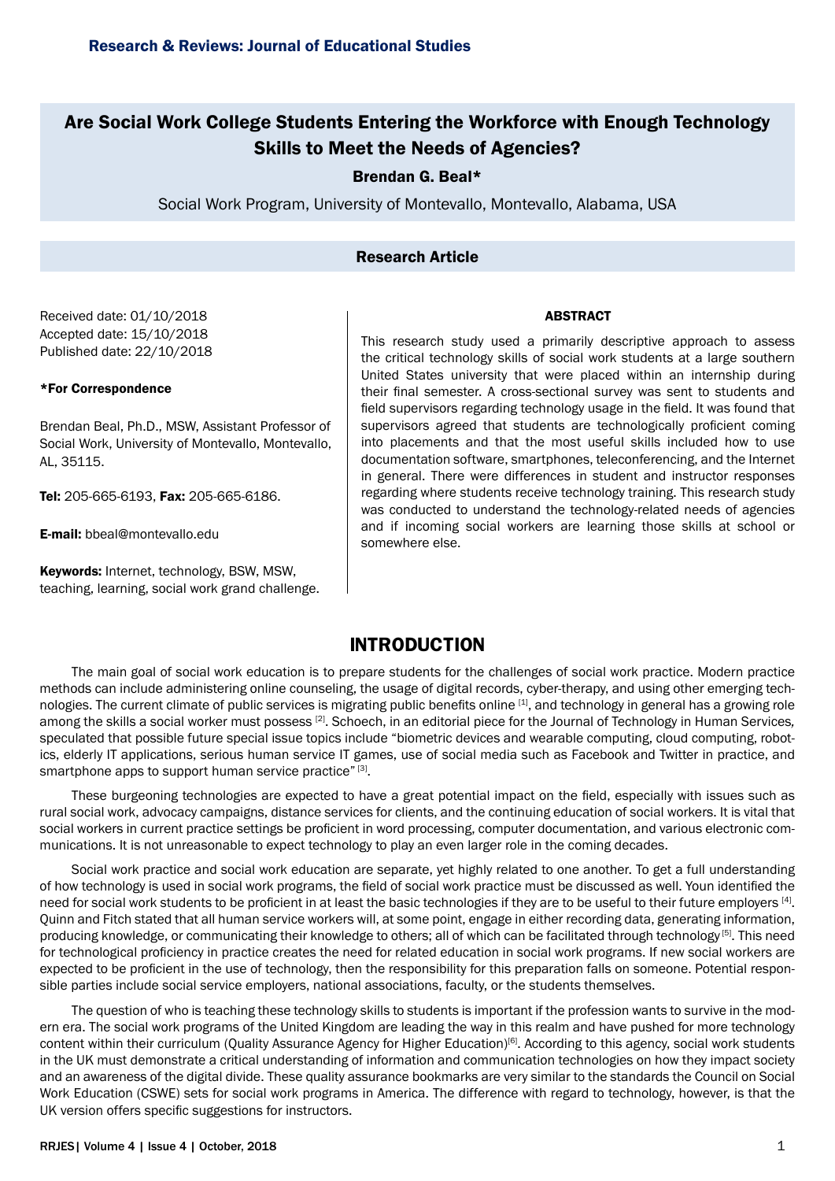# Are Social Work College Students Entering the Workforce with Enough Technology Skills to Meet the Needs of Agencies?

## Brendan G. Beal\*

Social Work Program, University of Montevallo, Montevallo, Alabama, USA

## Research Article

#### ABSTRACT

Received date: 01/10/2018 Accepted date: 15/10/2018 Published date: 22/10/2018

#### \*For Correspondence

Brendan Beal, Ph.D., MSW, Assistant Professor of Social Work, University of Montevallo, Montevallo, AL, 35115.

Tel: 205-665-6193, Fax: 205-665-6186.

E-mail: [bbeal@montevallo.edu](mailto:bbeal@montevallo.edu)

Keywords: Internet, technology, BSW, MSW, teaching, learning, social work grand challenge.

This research study used a primarily descriptive approach to assess the critical technology skills of social work students at a large southern United States university that were placed within an internship during their final semester. A cross-sectional survey was sent to students and field supervisors regarding technology usage in the field. It was found that supervisors agreed that students are technologically proficient coming into placements and that the most useful skills included how to use documentation software, smartphones, teleconferencing, and the Internet in general. There were differences in student and instructor responses regarding where students receive technology training. This research study was conducted to understand the technology-related needs of agencies and if incoming social workers are learning those skills at school or somewhere else.

# **INTRODUCTION**

The main goal of social work education is to prepare students for the challenges of social work practice. Modern practice methods can include administering online counseling, the usage of digital records, cyber-therapy, and using other emerging technologies. The current climate of public services is migrating public benefits online [1], and technology in general has a growing role among the skills a social worker must possess [2]. Schoech, in an editorial piece for the Journal of Technology in Human Services*,* speculated that possible future special issue topics include "biometric devices and wearable computing, cloud computing, robotics, elderly IT applications, serious human service IT games, use of social media such as Facebook and Twitter in practice, and smartphone apps to support human service practice" [3].

These burgeoning technologies are expected to have a great potential impact on the field, especially with issues such as rural social work, advocacy campaigns, distance services for clients, and the continuing education of social workers. It is vital that social workers in current practice settings be proficient in word processing, computer documentation, and various electronic communications. It is not unreasonable to expect technology to play an even larger role in the coming decades.

Social work practice and social work education are separate, yet highly related to one another. To get a full understanding of how technology is used in social work programs, the field of social work practice must be discussed as well. Youn identified the need for social work students to be proficient in at least the basic technologies if they are to be useful to their future employers [4]. Quinn and Fitch stated that all human service workers will, at some point, engage in either recording data, generating information, producing knowledge, or communicating their knowledge to others; all of which can be facilitated through technology [5]. This need for technological proficiency in practice creates the need for related education in social work programs. If new social workers are expected to be proficient in the use of technology, then the responsibility for this preparation falls on someone. Potential responsible parties include social service employers, national associations, faculty, or the students themselves.

The question of who is teaching these technology skills to students is important if the profession wants to survive in the modern era. The social work programs of the United Kingdom are leading the way in this realm and have pushed for more technology content within their curriculum (Quality Assurance Agency for Higher Education)[6]. According to this agency, social work students in the UK must demonstrate a critical understanding of information and communication technologies on how they impact society and an awareness of the digital divide. These quality assurance bookmarks are very similar to the standards the Council on Social Work Education (CSWE) sets for social work programs in America. The difference with regard to technology, however, is that the UK version offers specific suggestions for instructors.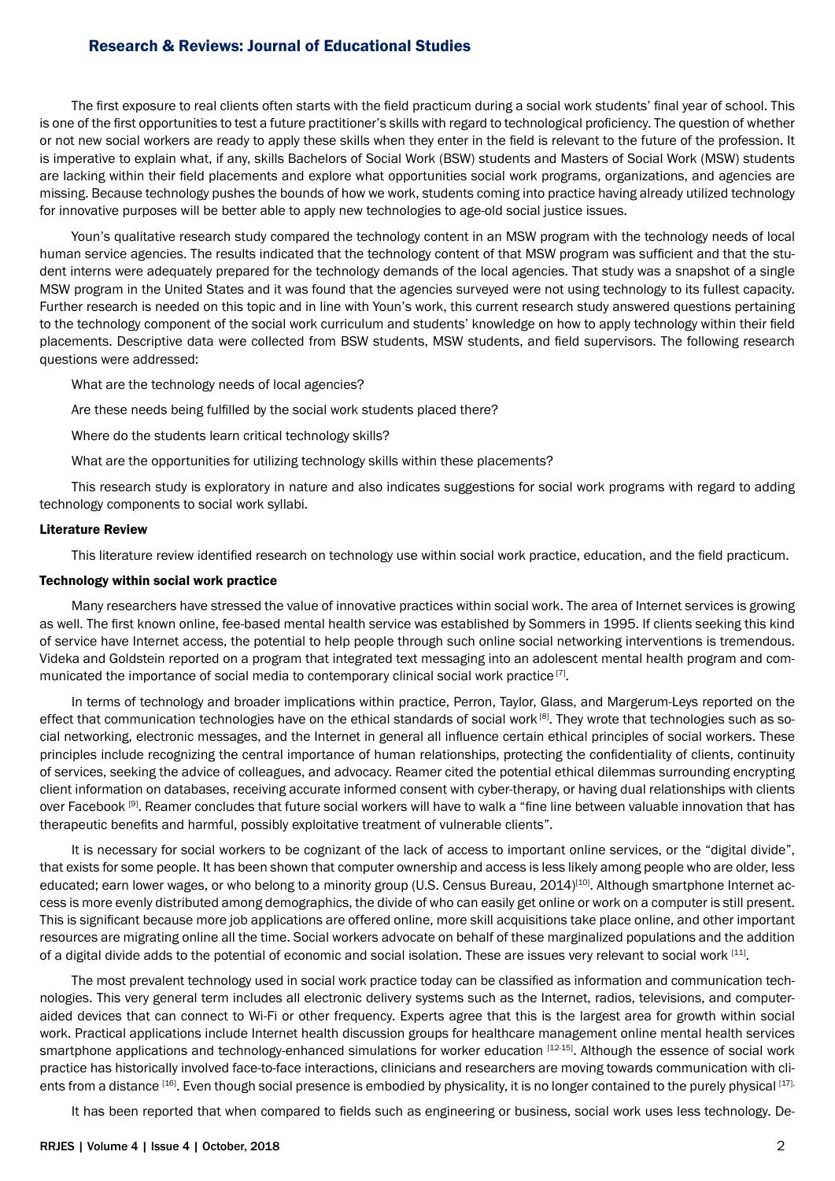The first exposure to real clients often starts with the field practicum during a social work students' final year of school. This is one of the first opportunities to test a future practitioner's skills with regard to technological proficiency. The question of whether or not new social workers are ready to apply these skills when they enter in the field is relevant to the future of the profession. It is imperative to explain what, if any, skills Bachelors of Social Work (BSW) students and Masters of Social Work (MSW) students are lacking within their field placements and explore what opportunities social work programs, organizations, and agencies are missing. Because technology pushes the bounds of how we work, students coming into practice having already utilized technology for innovative purposes will be better able to apply new technologies to age-old social justice issues.

Youn's qualitative research study compared the technology content in an MSW program with the technology needs of local human service agencies. The results indicated that the technology content of that MSW program was sufficient and that the student interns were adequately prepared for the technology demands of the local agencies. That study was a snapshot of a single MSW program in the United States and it was found that the agencies surveyed were not using technology to its fullest capacity. Further research is needed on this topic and in line with Youn's work, this current research study answered questions pertaining to the technology component of the social work curriculum and students' knowledge on how to apply technology within their field placements. Descriptive data were collected from BSW students, MSW students, and field supervisors. The following research questions were addressed:

What are the technology needs of local agencies?

Are these needs being fulfilled by the social work students placed there?

Where do the students learn critical technology skills?

What are the opportunities for utilizing technology skills within these placements?

This research study is exploratory in nature and also indicates suggestions for social work programs with regard to adding technology components to social work syllabi.

### Literature Review

This literature review identified research on technology use within social work practice, education, and the field practicum.

### Technology within social work practice

Many researchers have stressed the value of innovative practices within social work. The area of Internet services is growing as well. The first known online, fee-based mental health service was established by Sommers in 1995. If clients seeking this kind of service have Internet access, the potential to help people through such online social networking interventions is tremendous. Videka and Goldstein reported on a program that integrated text messaging into an adolescent mental health program and communicated the importance of social media to contemporary clinical social work practice [7].

In terms of technology and broader implications within practice, Perron, Taylor, Glass, and Margerum-Leys reported on the effect that communication technologies have on the ethical standards of social work  $[8]$ . They wrote that technologies such as social networking, electronic messages, and the Internet in general all influence certain ethical principles of social workers. These principles include recognizing the central importance of human relationships, protecting the confidentiality of clients, continuity of services, seeking the advice of colleagues, and advocacy. Reamer cited the potential ethical dilemmas surrounding encrypting client information on databases, receiving accurate informed consent with cyber-therapy, or having dual relationships with clients over Facebook [9]. Reamer concludes that future social workers will have to walk a "fine line between valuable innovation that has therapeutic benefits and harmful, possibly exploitative treatment of vulnerable clients".

It is necessary for social workers to be cognizant of the lack of access to important online services, or the "digital divide", that exists for some people. It has been shown that computer ownership and access is less likely among people who are older, less educated; earn lower wages, or who belong to a minority group (U.S. Census Bureau, 2014)<sup>[10]</sup>. Although smartphone Internet access is more evenly distributed among demographics, the divide of who can easily get online or work on a computer is still present. This is significant because more job applications are offered online, more skill acquisitions take place online, and other important resources are migrating online all the time. Social workers advocate on behalf of these marginalized populations and the addition of a digital divide adds to the potential of economic and social isolation. These are issues very relevant to social work [11].

The most prevalent technology used in social work practice today can be classified as information and communication technologies. This very general term includes all electronic delivery systems such as the Internet, radios, televisions, and computeraided devices that can connect to Wi-Fi or other frequency. Experts agree that this is the largest area for growth within social work. Practical applications include Internet health discussion groups for healthcare management online mental health services smartphone applications and technology-enhanced simulations for worker education [12-15]. Although the essence of social work practice has historically involved face-to-face interactions, clinicians and researchers are moving towards communication with clients from a distance [16]. Even though social presence is embodied by physicality, it is no longer contained to the purely physical [17].

It has been reported that when compared to fields such as engineering or business, social work uses less technology. De-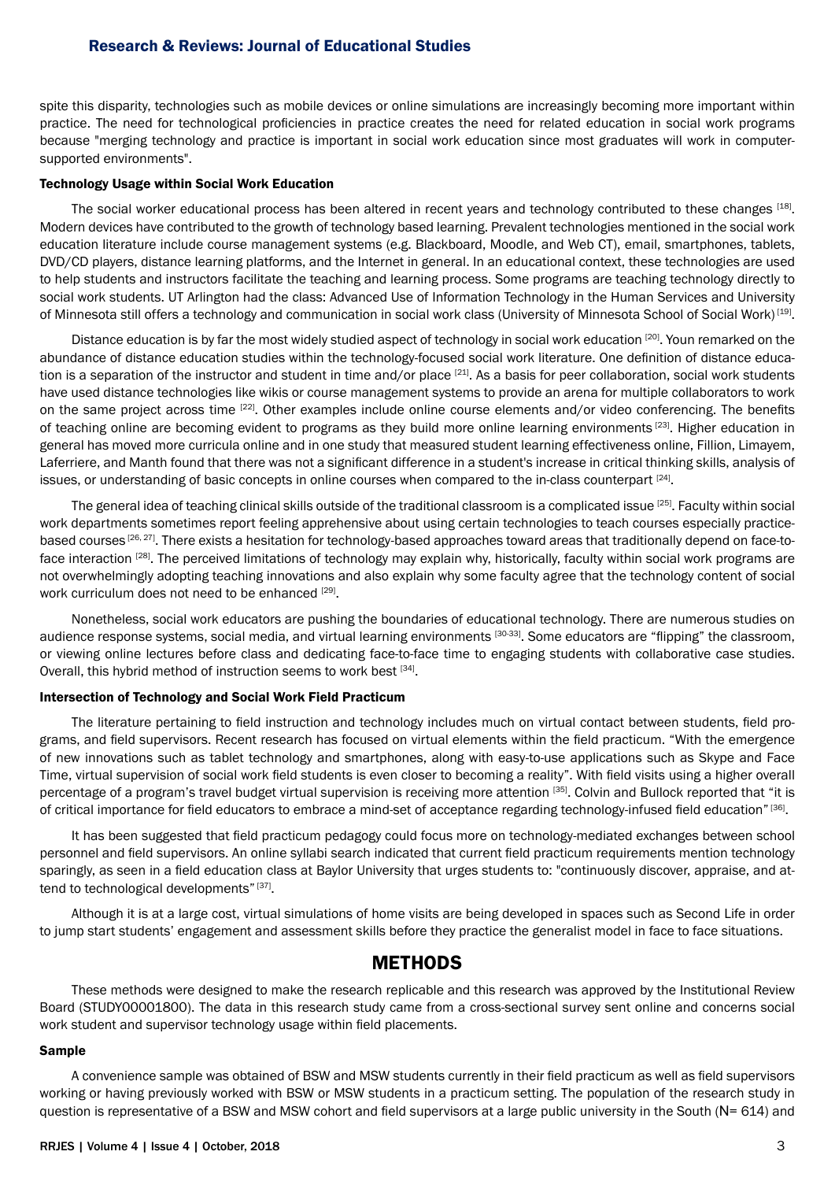spite this disparity, technologies such as mobile devices or online simulations are increasingly becoming more important within practice. The need for technological proficiencies in practice creates the need for related education in social work programs because "merging technology and practice is important in social work education since most graduates will work in computersupported environments".

#### Technology Usage within Social Work Education

The social worker educational process has been altered in recent years and technology contributed to these changes [18]. Modern devices have contributed to the growth of technology based learning. Prevalent technologies mentioned in the social work education literature include course management systems (e.g. Blackboard, Moodle, and Web CT), email, smartphones, tablets, DVD/CD players, distance learning platforms, and the Internet in general. In an educational context, these technologies are used to help students and instructors facilitate the teaching and learning process. Some programs are teaching technology directly to social work students. UT Arlington had the class: Advanced Use of Information Technology in the Human Services and University of Minnesota still offers a technology and communication in social work class (University of Minnesota School of Social Work) [19].

Distance education is by far the most widely studied aspect of technology in social work education [20]. Youn remarked on the abundance of distance education studies within the technology-focused social work literature. One definition of distance education is a separation of the instructor and student in time and/or place [21]. As a basis for peer collaboration, social work students have used distance technologies like wikis or course management systems to provide an arena for multiple collaborators to work on the same project across time [22]. Other examples include online course elements and/or video conferencing. The benefits of teaching online are becoming evident to programs as they build more online learning environments [23]. Higher education in general has moved more curricula online and in one study that measured student learning effectiveness online, Fillion, Limayem, Laferriere, and Manth found that there was not a significant difference in a student's increase in critical thinking skills, analysis of issues, or understanding of basic concepts in online courses when compared to the in-class counterpart [24].

The general idea of teaching clinical skills outside of the traditional classroom is a complicated issue [25]. Faculty within social work departments sometimes report feeling apprehensive about using certain technologies to teach courses especially practicebased courses [26, 27]. There exists a hesitation for technology-based approaches toward areas that traditionally depend on face-toface interaction [28]. The perceived limitations of technology may explain why, historically, faculty within social work programs are not overwhelmingly adopting teaching innovations and also explain why some faculty agree that the technology content of social work curriculum does not need to be enhanced  $[29]$ .

Nonetheless, social work educators are pushing the boundaries of educational technology. There are numerous studies on audience response systems, social media, and virtual learning environments [30-33]. Some educators are "flipping" the classroom, or viewing online lectures before class and dedicating face-to-face time to engaging students with collaborative case studies. Overall, this hybrid method of instruction seems to work best [34].

### Intersection of Technology and Social Work Field Practicum

The literature pertaining to field instruction and technology includes much on virtual contact between students, field programs, and field supervisors. Recent research has focused on virtual elements within the field practicum. "With the emergence of new innovations such as tablet technology and smartphones, along with easy-to-use applications such as Skype and Face Time, virtual supervision of social work field students is even closer to becoming a reality". With field visits using a higher overall percentage of a program's travel budget virtual supervision is receiving more attention [35]. Colvin and Bullock reported that "it is of critical importance for field educators to embrace a mind-set of acceptance regarding technology-infused field education" [36].

It has been suggested that field practicum pedagogy could focus more on technology-mediated exchanges between school personnel and field supervisors. An online syllabi search indicated that current field practicum requirements mention technology sparingly, as seen in a field education class at Baylor University that urges students to: "continuously discover, appraise, and attend to technological developments" [37].

Although it is at a large cost, virtual simulations of home visits are being developed in spaces such as Second Life in order to jump start students' engagement and assessment skills before they practice the generalist model in face to face situations.

## **METHODS**

These methods were designed to make the research replicable and this research was approved by the Institutional Review Board (STUDY00001800). The data in this research study came from a cross-sectional survey sent online and concerns social work student and supervisor technology usage within field placements.

#### Sample

A convenience sample was obtained of BSW and MSW students currently in their field practicum as well as field supervisors working or having previously worked with BSW or MSW students in a practicum setting. The population of the research study in question is representative of a BSW and MSW cohort and field supervisors at a large public university in the South (N= 614) and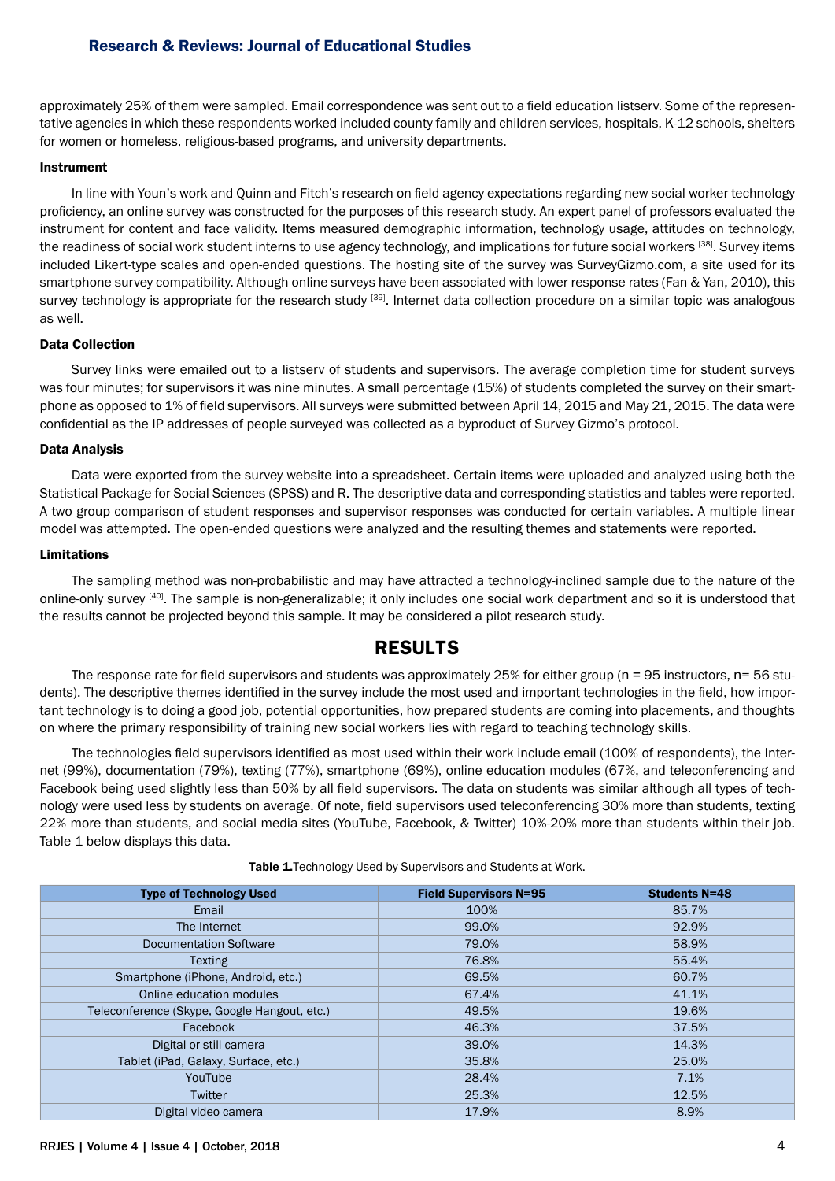approximately 25% of them were sampled. Email correspondence was sent out to a field education listserv. Some of the representative agencies in which these respondents worked included county family and children services, hospitals, K-12 schools, shelters for women or homeless, religious-based programs, and university departments.

### Instrument

In line with Youn's work and Quinn and Fitch's research on field agency expectations regarding new social worker technology proficiency, an online survey was constructed for the purposes of this research study. An expert panel of professors evaluated the instrument for content and face validity. Items measured demographic information, technology usage, attitudes on technology, the readiness of social work student interns to use agency technology, and implications for future social workers [38]. Survey items included Likert-type scales and open-ended questions. The hosting site of the survey was SurveyGizmo.com, a site used for its smartphone survey compatibility. Although online surveys have been associated with lower response rates (Fan & Yan, 2010), this survey technology is appropriate for the research study [39]. Internet data collection procedure on a similar topic was analogous as well.

### Data Collection

Survey links were emailed out to a listserv of students and supervisors. The average completion time for student surveys was four minutes; for supervisors it was nine minutes. A small percentage (15%) of students completed the survey on their smartphone as opposed to 1% of field supervisors. All surveys were submitted between April 14, 2015 and May 21, 2015. The data were confidential as the IP addresses of people surveyed was collected as a byproduct of Survey Gizmo's protocol.

## Data Analysis

Data were exported from the survey website into a spreadsheet. Certain items were uploaded and analyzed using both the Statistical Package for Social Sciences (SPSS) and R. The descriptive data and corresponding statistics and tables were reported. A two group comparison of student responses and supervisor responses was conducted for certain variables. A multiple linear model was attempted. The open-ended questions were analyzed and the resulting themes and statements were reported.

## Limitations

The sampling method was non-probabilistic and may have attracted a technology-inclined sample due to the nature of the online-only survey [40]. The sample is non-generalizable; it only includes one social work department and so it is understood that the results cannot be projected beyond this sample. It may be considered a pilot research study.

# **RESULTS**

The response rate for field supervisors and students was approximately 25% for either group ( $n = 95$  instructors,  $n = 56$  students). The descriptive themes identified in the survey include the most used and important technologies in the field, how important technology is to doing a good job, potential opportunities, how prepared students are coming into placements, and thoughts on where the primary responsibility of training new social workers lies with regard to teaching technology skills.

The technologies field supervisors identified as most used within their work include email (100% of respondents), the Internet (99%), documentation (79%), texting (77%), smartphone (69%), online education modules (67%, and teleconferencing and Facebook being used slightly less than 50% by all field supervisors. The data on students was similar although all types of technology were used less by students on average. Of note, field supervisors used teleconferencing 30% more than students, texting 22% more than students, and social media sites (YouTube, Facebook, & Twitter) 10%-20% more than students within their job. Table 1 below displays this data.

| <b>Type of Technology Used</b>               | <b>Field Supervisors N=95</b> | <b>Students N=48</b> |
|----------------------------------------------|-------------------------------|----------------------|
| Email                                        | 100%                          | 85.7%                |
| The Internet                                 | 99.0%                         | 92.9%                |
| <b>Documentation Software</b>                | 79.0%                         | 58.9%                |
| <b>Texting</b>                               | 76.8%                         | 55.4%                |
| Smartphone (iPhone, Android, etc.)           | 69.5%                         | 60.7%                |
| Online education modules                     | 67.4%                         | 41.1%                |
| Teleconference (Skype, Google Hangout, etc.) | 49.5%                         | 19.6%                |
| Facebook                                     | 46.3%                         | 37.5%                |
| Digital or still camera                      | 39.0%                         | 14.3%                |
| Tablet (iPad, Galaxy, Surface, etc.)         | 35.8%                         | 25.0%                |
| YouTube                                      | 28.4%                         | 7.1%                 |
| Twitter                                      | 25.3%                         | 12.5%                |
| Digital video camera                         | 17.9%                         | 8.9%                 |

Table 1. Technology Used by Supervisors and Students at Work.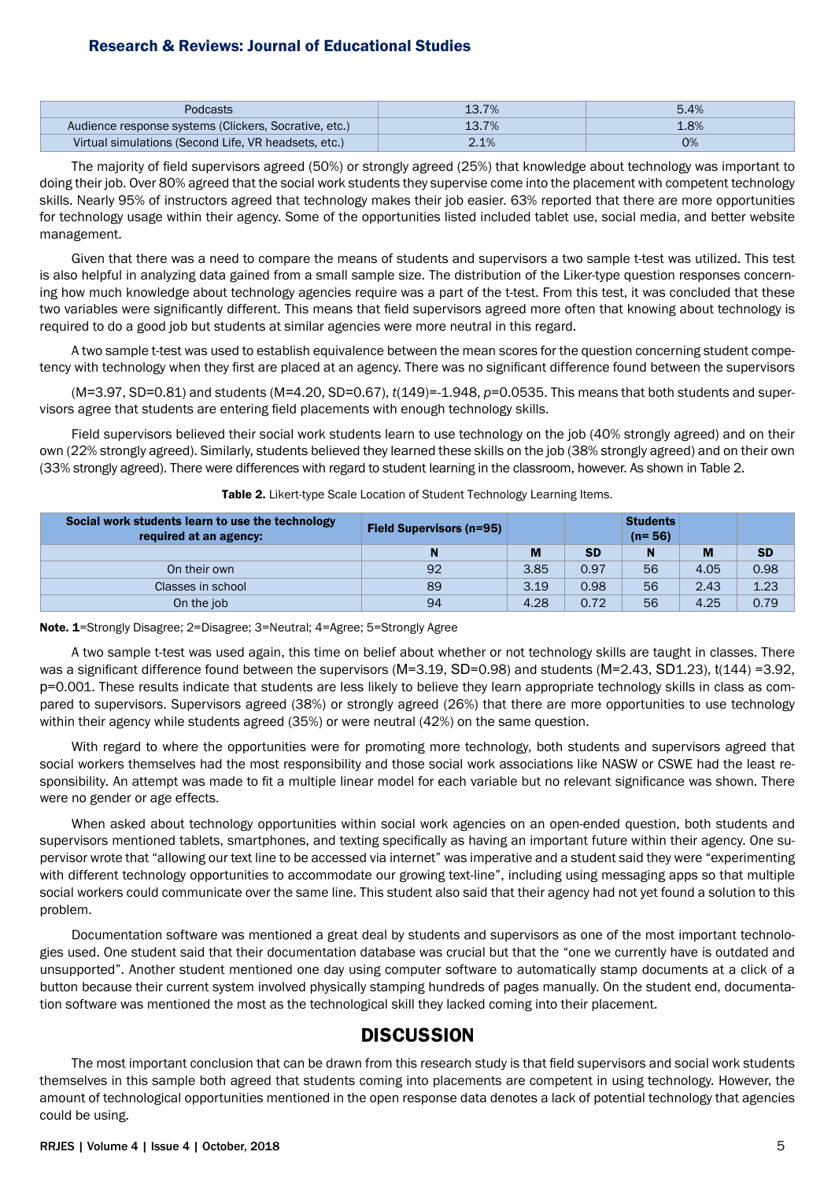| Podcasts                                              | 13.7% | 5.4% |
|-------------------------------------------------------|-------|------|
| Audience response systems (Clickers, Socrative, etc.) | 13.7% | 1.8% |
| Virtual simulations (Second Life, VR headsets, etc.)  | 2.1%  | 0%   |

The majority of field supervisors agreed (50%) or strongly agreed (25%) that knowledge about technology was important to doing their job. Over 80% agreed that the social work students they supervise come into the placement with competent technology skills. Nearly 95% of instructors agreed that technology makes their job easier. 63% reported that there are more opportunities for technology usage within their agency. Some of the opportunities listed included tablet use, social media, and better website management.

Given that there was a need to compare the means of students and supervisors a two sample t-test was utilized. This test is also helpful in analyzing data gained from a small sample size. The distribution of the Liker-type question responses concerning how much knowledge about technology agencies require was a part of the t-test. From this test, it was concluded that these two variables were significantly different. This means that field supervisors agreed more often that knowing about technology is required to do a good job but students at similar agencies were more neutral in this regard.

A two sample t-test was used to establish equivalence between the mean scores for the question concerning student competency with technology when they first are placed at an agency. There was no significant difference found between the supervisors

(M=3.97, SD=0.81) and students (M*=*4.20, SD=0.67), *t*(149)=-1.948, *p*=0.0535. This means that both students and supervisors agree that students are entering field placements with enough technology skills.

Field supervisors believed their social work students learn to use technology on the job (40% strongly agreed) and on their own (22% strongly agreed). Similarly, students believed they learned these skills on the job (38% strongly agreed) and on their own (33% strongly agreed). There were differences with regard to student learning in the classroom, however. As shown in Table 2.

| Social work students learn to use the technology<br>required at an agency: | <b>Field Supervisors (n=95)</b> |      |           | <b>Students</b><br>$(n = 56)$ |      |           |
|----------------------------------------------------------------------------|---------------------------------|------|-----------|-------------------------------|------|-----------|
|                                                                            |                                 | M    | <b>SD</b> | N                             | M    | <b>SD</b> |
| On their own                                                               | 92                              | 3.85 | 0.97      | 56                            | 4.05 | 0.98      |
| Classes in school                                                          | 89                              | 3.19 | 0.98      | 56                            | 2.43 | 1.23      |
| On the job                                                                 | 94                              | 4.28 | 0.72      | 56                            | 4.25 | 0.79      |

### Table 2. Likert-type Scale Location of Student Technology Learning Items.

Note. 1*=*Strongly Disagree; 2=Disagree; 3=Neutral; 4=Agree; 5=Strongly Agree

A two sample t-test was used again, this time on belief about whether or not technology skills are taught in classes. There was a significant difference found between the supervisors (M=3.19, SD=0.98) and students (M=2.43, SD1.23), t(144) =3.92, p=0.001. These results indicate that students are less likely to believe they learn appropriate technology skills in class as compared to supervisors. Supervisors agreed (38%) or strongly agreed (26%) that there are more opportunities to use technology within their agency while students agreed (35%) or were neutral (42%) on the same question.

With regard to where the opportunities were for promoting more technology, both students and supervisors agreed that social workers themselves had the most responsibility and those social work associations like NASW or CSWE had the least responsibility. An attempt was made to fit a multiple linear model for each variable but no relevant significance was shown. There were no gender or age effects.

When asked about technology opportunities within social work agencies on an open-ended question, both students and supervisors mentioned tablets, smartphones, and texting specifically as having an important future within their agency. One supervisor wrote that "allowing our text line to be accessed via internet" was imperative and a student said they were "experimenting with different technology opportunities to accommodate our growing text-line", including using messaging apps so that multiple social workers could communicate over the same line. This student also said that their agency had not yet found a solution to this problem.

Documentation software was mentioned a great deal by students and supervisors as one of the most important technologies used. One student said that their documentation database was crucial but that the "one we currently have is outdated and unsupported". Another student mentioned one day using computer software to automatically stamp documents at a click of a button because their current system involved physically stamping hundreds of pages manually. On the student end, documentation software was mentioned the most as the technological skill they lacked coming into their placement.

# **DISCUSSION**

The most important conclusion that can be drawn from this research study is that field supervisors and social work students themselves in this sample both agreed that students coming into placements are competent in using technology. However, the amount of technological opportunities mentioned in the open response data denotes a lack of potential technology that agencies could be using.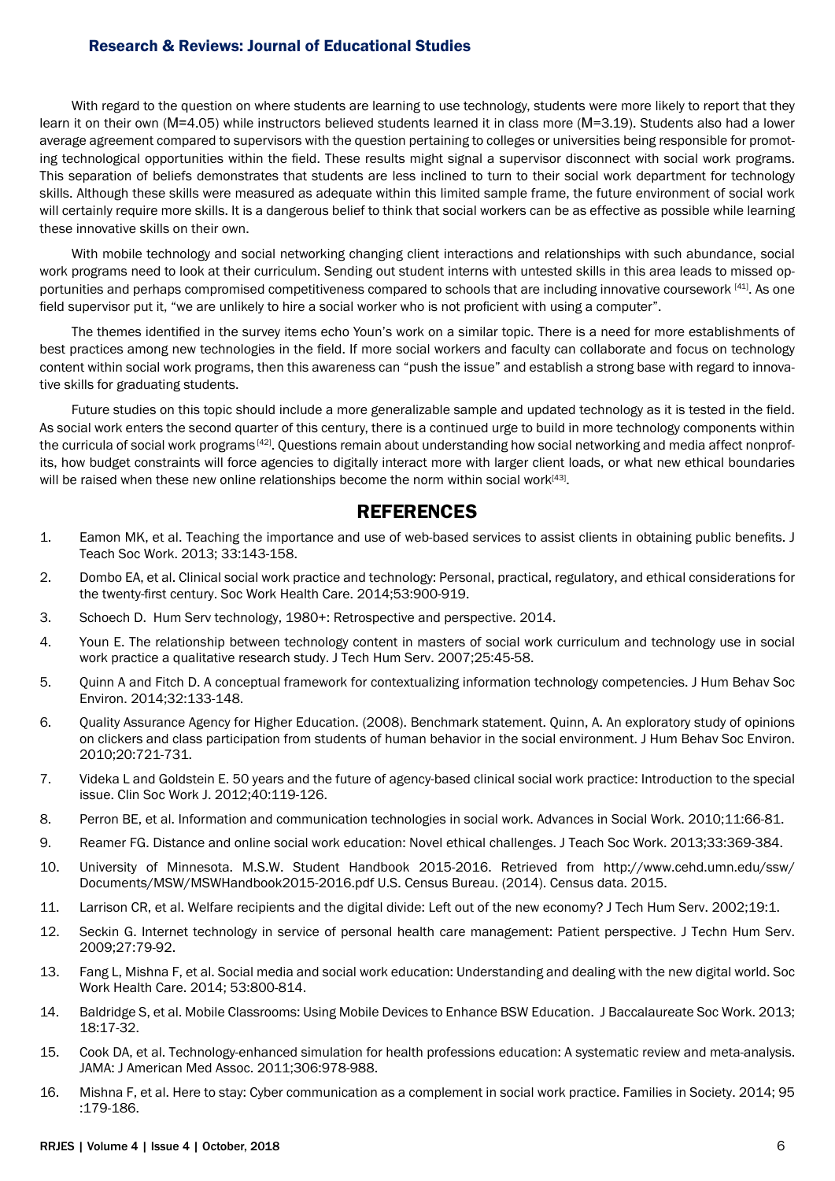With regard to the question on where students are learning to use technology, students were more likely to report that they learn it on their own (M=4.05) while instructors believed students learned it in class more (M=3.19). Students also had a lower average agreement compared to supervisors with the question pertaining to colleges or universities being responsible for promoting technological opportunities within the field. These results might signal a supervisor disconnect with social work programs. This separation of beliefs demonstrates that students are less inclined to turn to their social work department for technology skills. Although these skills were measured as adequate within this limited sample frame, the future environment of social work will certainly require more skills. It is a dangerous belief to think that social workers can be as effective as possible while learning these innovative skills on their own.

With mobile technology and social networking changing client interactions and relationships with such abundance, social work programs need to look at their curriculum. Sending out student interns with untested skills in this area leads to missed opportunities and perhaps compromised competitiveness compared to schools that are including innovative coursework [41]. As one field supervisor put it, "we are unlikely to hire a social worker who is not proficient with using a computer".

The themes identified in the survey items echo Youn's work on a similar topic. There is a need for more establishments of best practices among new technologies in the field. If more social workers and faculty can collaborate and focus on technology content within social work programs, then this awareness can "push the issue" and establish a strong base with regard to innovative skills for graduating students.

Future studies on this topic should include a more generalizable sample and updated technology as it is tested in the field. As social work enters the second quarter of this century, there is a continued urge to build in more technology components within the curricula of social work programs<sup>[42]</sup>. Questions remain about understanding how social networking and media affect nonprofits, how budget constraints will force agencies to digitally interact more with larger client loads, or what new ethical boundaries will be raised when these new online relationships become the norm within social work $[43]$ .

# **REFERENCES**

- 1. Eamon MK, et al. Teaching the importance and use of web-based services to assist clients in obtaining public benefits. J Teach Soc Work. 2013; 33:143-158.
- 2. Dombo EA, et al. Clinical social work practice and technology: Personal, practical, regulatory, and ethical considerations for the twenty-first century. Soc Work Health Care. 2014;53:900-919.
- 3. Schoech D. Hum Serv technology, 1980+: Retrospective and perspective. 2014.
- 4. Youn E. The relationship between technology content in masters of social work curriculum and technology use in social work practice a qualitative research study. J Tech Hum Serv. 2007;25:45-58.
- 5. Quinn A and Fitch D. A conceptual framework for contextualizing information technology competencies. J Hum Behav Soc Environ. 2014;32:133-148.
- 6. Quality Assurance Agency for Higher Education. (2008). Benchmark statement. Quinn, A. An exploratory study of opinions on clickers and class participation from students of human behavior in the social environment. J Hum Behav Soc Environ. 2010;20:721-731.
- 7. Videka L and Goldstein E. 50 years and the future of agency-based clinical social work practice: Introduction to the special issue. Clin Soc Work J. 2012;40:119-126.
- 8. Perron BE, et al. Information and communication technologies in social work. Advances in Social Work. 2010;11:66-81.
- 9. Reamer FG. Distance and online social work education: Novel ethical challenges. J Teach Soc Work. 2013;33:369-384.
- 10. University of Minnesota. M.S.W. Student Handbook 2015-2016. Retrieved from [http://www.cehd.umn.edu/ssw/](http://www.cehd.umn.edu/ssw/Documents/MSW/MSWHandbook2015-2016.pdf) [Documents/MSW/MSWHandbook2015-2016.pdf](http://www.cehd.umn.edu/ssw/Documents/MSW/MSWHandbook2015-2016.pdf) U.S. Census Bureau. (2014). Census data. 2015.
- 11. Larrison CR, et al. Welfare recipients and the digital divide: Left out of the new economy? J Tech Hum Serv. 2002;19:1.
- 12. Seckin G. Internet technology in service of personal health care management: Patient perspective. J Techn Hum Serv. 2009;27:79-92.
- 13. Fang L, Mishna F, et al. Social media and social work education: Understanding and dealing with the new digital world. Soc Work Health Care. 2014; 53:800-814.
- 14. Baldridge S, et al. Mobile Classrooms: Using Mobile Devices to Enhance BSW Education. J Baccalaureate Soc Work. 2013; 18:17-32.
- 15. Cook DA, et al. Technology-enhanced simulation for health professions education: A systematic review and meta-analysis. JAMA: J American Med Assoc. 2011;306:978-988.
- 16. Mishna F, et al. Here to stay: Cyber communication as a complement in social work practice. Families in Society. 2014; 95 :179-186.